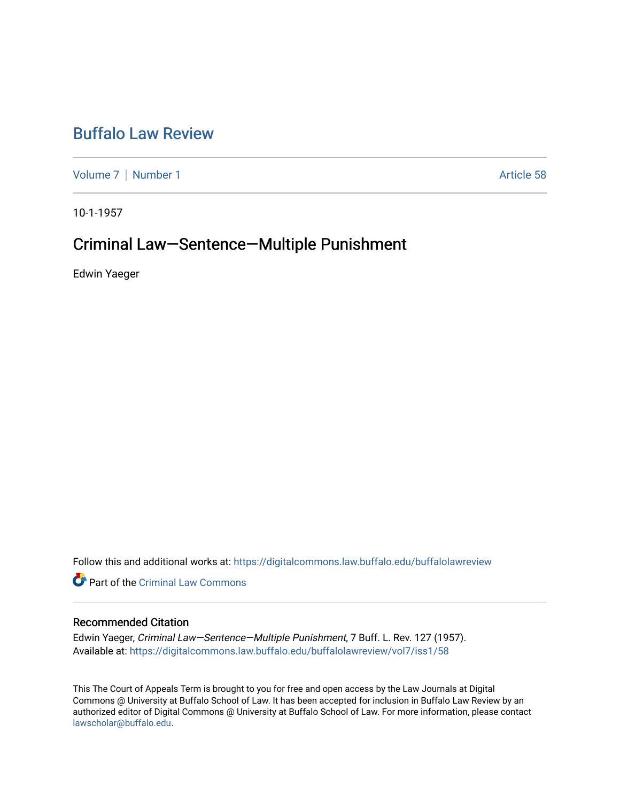# [Buffalo Law Review](https://digitalcommons.law.buffalo.edu/buffalolawreview)

[Volume 7](https://digitalcommons.law.buffalo.edu/buffalolawreview/vol7) | [Number 1](https://digitalcommons.law.buffalo.edu/buffalolawreview/vol7/iss1) Article 58

10-1-1957

# Criminal Law—Sentence—Multiple Punishment

Edwin Yaeger

Follow this and additional works at: [https://digitalcommons.law.buffalo.edu/buffalolawreview](https://digitalcommons.law.buffalo.edu/buffalolawreview?utm_source=digitalcommons.law.buffalo.edu%2Fbuffalolawreview%2Fvol7%2Fiss1%2F58&utm_medium=PDF&utm_campaign=PDFCoverPages) 

**P** Part of the Criminal Law Commons

## Recommended Citation

Edwin Yaeger, Criminal Law—Sentence—Multiple Punishment, 7 Buff. L. Rev. 127 (1957). Available at: [https://digitalcommons.law.buffalo.edu/buffalolawreview/vol7/iss1/58](https://digitalcommons.law.buffalo.edu/buffalolawreview/vol7/iss1/58?utm_source=digitalcommons.law.buffalo.edu%2Fbuffalolawreview%2Fvol7%2Fiss1%2F58&utm_medium=PDF&utm_campaign=PDFCoverPages) 

This The Court of Appeals Term is brought to you for free and open access by the Law Journals at Digital Commons @ University at Buffalo School of Law. It has been accepted for inclusion in Buffalo Law Review by an authorized editor of Digital Commons @ University at Buffalo School of Law. For more information, please contact [lawscholar@buffalo.edu](mailto:lawscholar@buffalo.edu).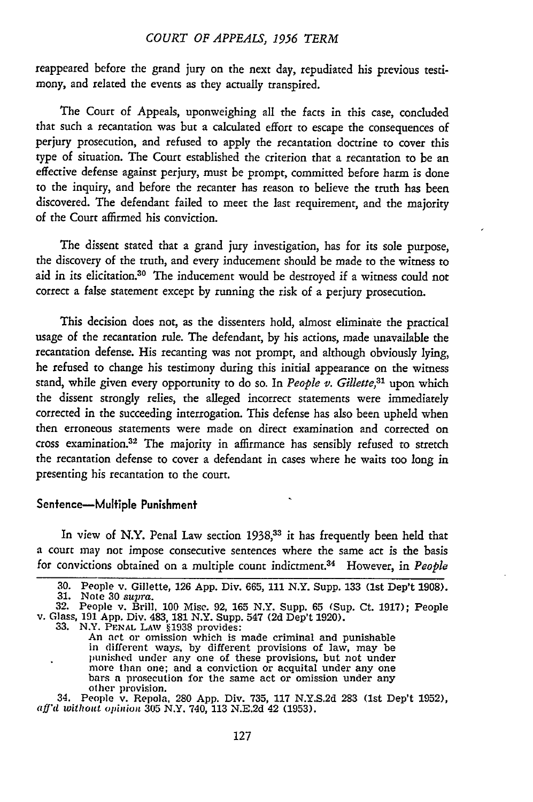#### *COURT OF APPEALS, 1956 TERM*

reappeared before the grand jury on the next day, repudiated his previous testimony, and related the events as they actually transpired.

The Court of Appeals, uponweighing all the facts in this case, concluded that such a recantation was but a calculated effort to escape the consequences of perjury prosecution, and refused to apply the recantation doctrine to cover this type of situation. The Court established the criterion that a recantation to be an effective defense against perjury, must be prompt, committed before harm is done to the inquiry, and before the recanter has reason to believe the truth has been discovered. The defendant failed to meet the last requirement, and the majority of the Court affirmed his conviction.

The dissent stated that a grand jury investigation, has for its sole purpose, the discovery of the truth, and every inducement should be made to the witness to aid in its elicitation.<sup>30</sup> The inducement would be destroyed if a witness could not correct a false statement except by running the risk of a perjury prosecution.

This decision does not, as the dissenters hold, almost eliminate the practical usage of the recantation rule. The defendant, by his actions, made unavailable the recantation defense. His recanting was not prompt, and although obviously lying, he refused to change his testimony during this initial appearance on the witness stand, while given every opportunity to do so. In *People v. Gillette,31* upon which the dissent strongly relies, the alleged incorrect statements were immediately corrected in the succeeding interrogation. This defense has also been upheld when then erroneous statements were made on direct examination and corrected on cross examination.32 The majority in affirmance has sensibly refused to stretch the recantation defense to cover a defendant in cases where he waits too long in presenting his recantation to the court.

#### Senfence-Mulfiple **Punishment**

In view of N.Y. Penal Law section **1938,<sup>33</sup>**it has frequently been held that a court may not impose consecutive sentences where the same act is the basis for convictions obtained on a multiple count indictment.34 However, in *People*

 $\ddot{\phantom{1}}$ 

30. People v. Gillette, 126 App. Div. 665, 111 N.Y. Supp. 133 (1st Dep't 1908).<br>31. Note 30 supra.<br>32. People v. Brill, 100 Misc. 92, 165 N.Y. Supp. 65 (Sup. Ct. 1917); People<br>v. Glass, 191 App. Div. 483, 181 N.Y. Supp. 5 more than one; and a conviction or acquital under any one<br>bars a prosecution for the same act or omission under any<br>other provision.<br>34. People v. Repola, 280 App. Div. 735, 117 N.Y.S.2d 283 (1st Dep't 1952),<br>aff'd without